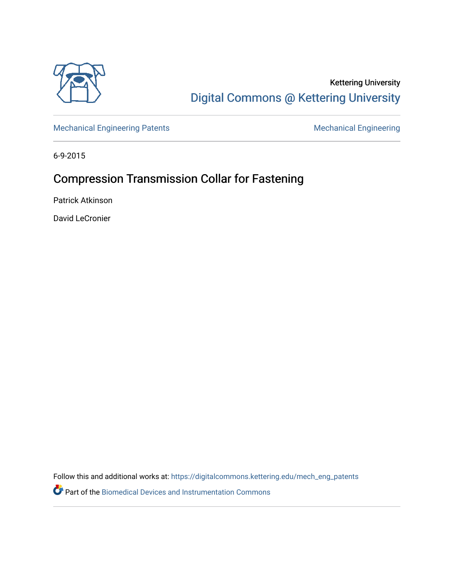

## Kettering University [Digital Commons @ Kettering University](https://digitalcommons.kettering.edu/)

[Mechanical Engineering Patents](https://digitalcommons.kettering.edu/mech_eng_patents) **Mechanical Engineering** 

6-9-2015

# Compression Transmission Collar for Fastening

Patrick Atkinson

David LeCronier

Follow this and additional works at: [https://digitalcommons.kettering.edu/mech\\_eng\\_patents](https://digitalcommons.kettering.edu/mech_eng_patents?utm_source=digitalcommons.kettering.edu%2Fmech_eng_patents%2F15&utm_medium=PDF&utm_campaign=PDFCoverPages) 

Part of the [Biomedical Devices and Instrumentation Commons](http://network.bepress.com/hgg/discipline/235?utm_source=digitalcommons.kettering.edu%2Fmech_eng_patents%2F15&utm_medium=PDF&utm_campaign=PDFCoverPages)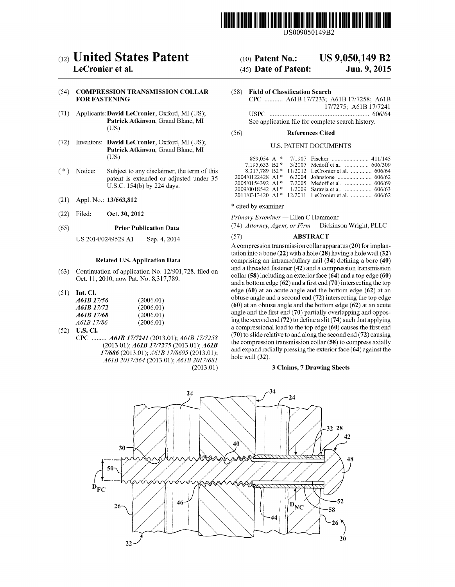

US00905O149B2

# (12) United States Patent (10) Patent No.: US 9,050,149 B2<br>LeCronier et al. (45) Date of Patent: Jun. 9, 2015

# (54) COMPRESSION TRANSMISSION COLLAR (58) Field of Classification Search FOR FASTENING (2007)

- 
- (72) Inventors: David LeCronier, Oxford, MI (US); Patrick Atkinson, Grand Blanc, MI<br>(US)
- $(* )$  Notice: Subject to any disclaimer, the term of this patent is extended or adjusted under 35 U.S.C. 154(b) by 224 days.
- 
- 

US 2014/0249529 A1 Sep. 4, 2014 (57) ABSTRACT

### Related U.S. Application Data

- (63) Continuation of application No. 12/901.728, filed on Oct. 11, 2010, now Pat. No. 8,317,789.
- 

| A61B 17/56 | (2006.01) |
|------------|-----------|
| A61B 17/72 | (2006.01) |
| A61B 17/68 | (2006.01) |
| A61B 17/86 | (2006.01) |

- 
- CPC ......... A61B 17/7241 (2013.01); A61B 17/7258 (2013.01); A61B 17/7275 (2013.01); A61B 17/686 (2013.01); A61B 17/8695 (2013.01); A61B 2017/564 (2013.01); A61B 2017/681 (2013.01)

### $(45)$  Date of Patent:

CPC ........... A61B 17/7233; A61B 17/7258; A61B 17/7275; A61B 17/7241 (71) Applicants: David LeCronier, Oxford, MI (US); USPC ............................................................ 606/64 Patrick Atkinson, Grand Blanc, MI See application file for complete search history.<br>(US)

### (56) References Cited

### U.S. PATENT DOCUMENTS

|        |                              | (US)                                        |                     |                                                   |  |
|--------|------------------------------|---------------------------------------------|---------------------|---------------------------------------------------|--|
|        |                              |                                             |                     |                                                   |  |
| $(* )$ | Notice:                      | Subject to any disclaimer, the term of this |                     |                                                   |  |
|        |                              | patent is extended or adjusted under 35     |                     |                                                   |  |
|        |                              | U.S.C. $154(b)$ by 224 days.                |                     |                                                   |  |
|        |                              |                                             |                     |                                                   |  |
|        | $(21)$ Appl. No.: 13/663,812 |                                             |                     | 2011/0313420 A1* 12/2011 LeCronier et al.  606/62 |  |
|        |                              |                                             | * cited by examiner |                                                   |  |

(22) Filed: Oct. 30, 2012 Primary Examiner — Ellen C Hammond

(65) Prior Publication Data (74) Attorney, Agent, or Firm — Dickinson Wright, PLLC

A compression transmission collar apparatus (20) for implantation into a bone (22) with a hole (28) having a hole wall (32) comprising an intramedullary nail  $(34)$  defining a bore  $(40)$ and a threaded fastener (42) and a compression transmission collar (58) including an exterior face (64) and a top edge (60) and a bottom edge (62) and a first end (70) intersecting the top edge (60) at an acute angle and the bottom edge (62) at an (51) Int. Cl. edge (60) at an acute angle and the bottom edge (62) at an  $\frac{461R}{17/56}$  (2006.01) obtuse angle and a second end (72) intersecting the top edge  $(60)$  at an obtuse angle and the bottom edge  $(62)$  at an acute angle and the first end (70) partially overlapping and opposing the second end  $(72)$  to define a slit  $(74)$  such that applying (52) U.S. Cl. a compressional load to the top edge (60) causes the first end<br>CDC.  $\frac{164B}{2777241}$  (2012 01),  $\frac{164B}{2777258}$  (70) to slide relative to and along the second end (72) causing the compression transmission collar (58) to compress axially and expand radially pressing the exterior face (64) against the hole wall (32).

### 3 Claims, 7 Drawing Sheets

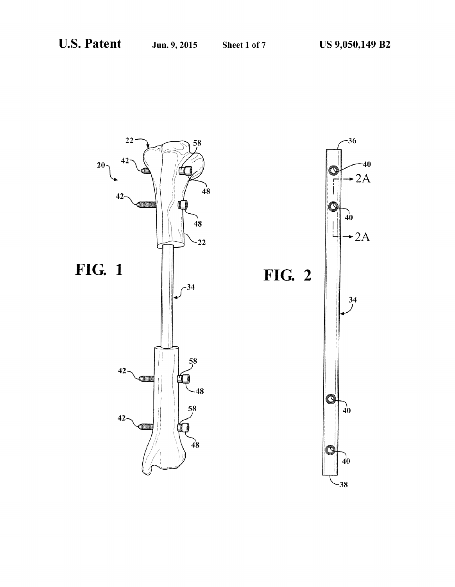

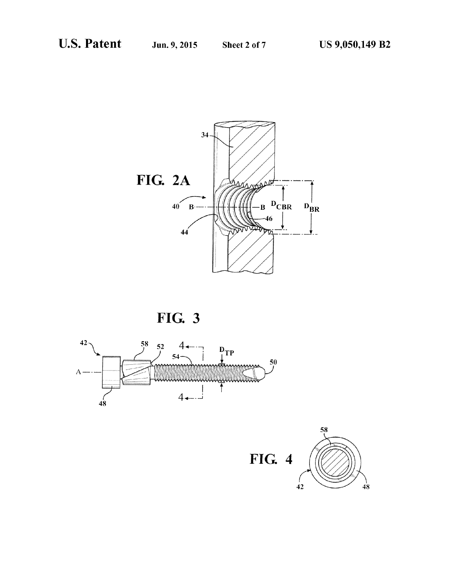





FIG. 4

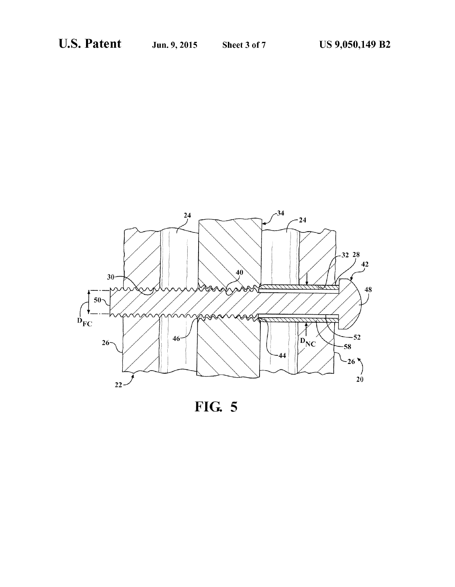

FIG. 5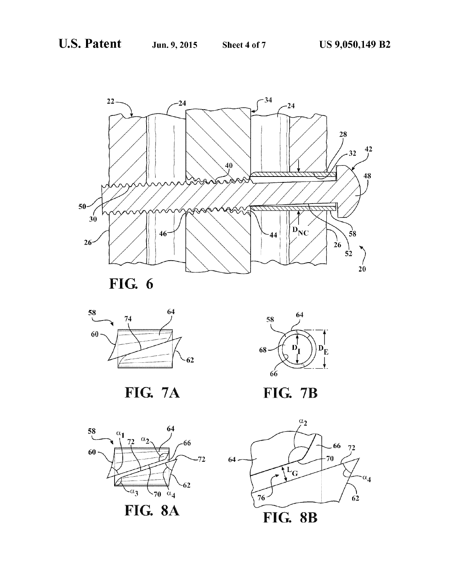

FIG. 6



FIG. 7A



**FIG. 7B** 



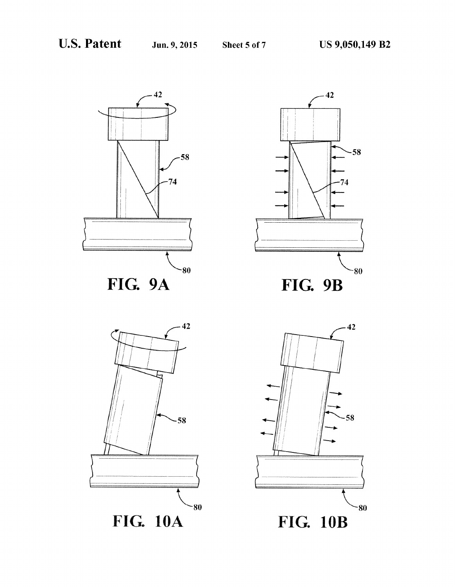





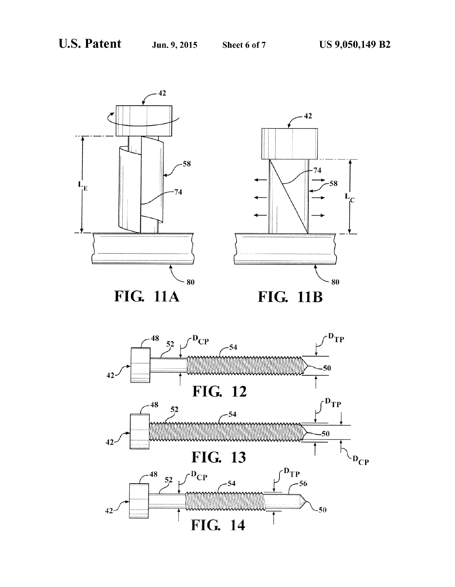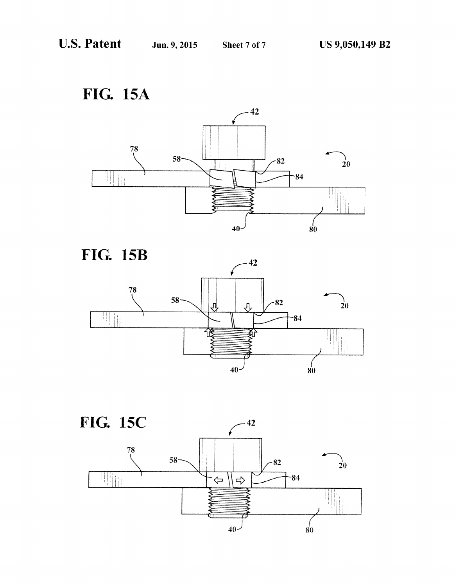FIG. 15A





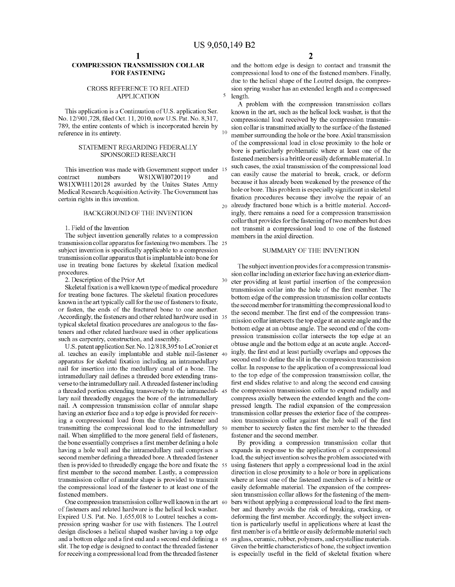5

30

### COMPRESSION TRANSMISSION COLLAR FOR FASTENING

### CROSS REFERENCE TO RELATED APPLICATION

This application is a Continuation of U.S. application Ser. No. 12/901,728, filed Oct. 11, 2010, now U.S. Pat. No. 8,317, 789, the entire contents of which is incorporated herein by reference in its entirety.

### STATEMENT REGARDING FEDERALLY SPONSORED RESEARCH

This invention was made with Government support under 15 contract numbers W81XWH0720119 and<br>W81XWH1120128 awarded by the Unites States Army Medical Research Acquisition Activity. The Government has certain rights in this invention.

### BACKGROUND OF THE INVENTION

1. Field of the Invention

The subject invention generally relates to a compression transmission collar apparatus for fastening two members. The 25 subject invention is specifically applicable to a compression transmission collar apparatus that is implantable into bone for use in treating bone factures by skeletal fixation medical procedures.

2. Description of the Prior Art

Skeletal fixation is a well known type of medical procedure for treating bone factures. The skeletal fixation procedures known in the art typically call for the use of fasteners to fixate, or fasten, the ends of the fractured bone to one another. Accordingly, the fasteners and other related hardware used in 35 typical skeletal fixation procedures are analogous to the fas such as carpentry, construction, and assembly.

U.S. patent application Ser. No. 12/818,395 to LeCronieret al. teaches an easily implantable and stable nail-fastener 40 apparatus for skeletal fixation including an intramedullary nail for insertion into the medullary canal of a bone. The intramedullary nail defines a threaded bore extending trans verse to the intramedullary nail. A threaded fastener including a threaded portion extending transversely to the intramedul- 45 lary nail threadedly engages the bore of the intramedullary nail. A compression transmission collar of annular shape having an exterior face and a top edge is provided for receiving a compressional load from the threaded fastener and transmitting the compressional load to the intramedullary 50 nail. When simplified to the more general field of fasteners, the bone essentially comprises a first member defining a hole having a hole wall and the intramedullary nail comprises a second member defining a threaded bore. A threaded fastener then is provided to threadedly engage the bore and fixate the 55 first member to the second member. Lastly, a compression transmission collar of annular shape is provided to transmit the compressional load of the fastener to at least one of the fastened members.

One compression transmission collar well known in the art 60 of fasteners and related hardware is the helical lock washer. Expired U.S. Pat. No. 1,655,018 to Loutrel teaches a com pression spring washer for use with fasteners. The Loutrel design discloses a helical shaped washer having a top edge and a bottom edge and a first end and a second end defining a 65 slit. The top edge is designed to contact the threaded fastener for receiving a compressional load from the threaded fastener

and the bottom edge is design to contact and transmit the compressional load to one of the fastened members. Finally, due to the helical shape of the Loutrel design, the compres sion spring washer has an extended length and a compressed length.

A problem with the compression transmission collars known in the art, such as the helical lock washer, is that the compressional load received by the compression transmis sion collar is transmitted axially to the surface of the fastened member Surrounding the hole or the bore. Axial transmission of the compressional load in close proximity to the hole or bore is particularly problematic where at least one of the fastened members is a brittle or easily deformable material. In such cases, the axial transmission of the compressional load can easily cause the material to break, crack, or deform because it has already been weakened by the presence of the hole or bore. This problem is especially significant in skeletal fixation procedures because they involve the repair of an already fractured bone which is a brittle material. Accord ingly, there remains a need for a compression transmission collar that provides for the fastening of two members but does not transmit a compressional load to one of the fastened members in the axial direction.

### SUMMARY OF THE INVENTION

The subject invention provides for a compression transmission collar including an exterior face having an exterior diam eter providing at least partial insertion of the compression transmission collar into the hole of the first member. The bottom edge of the compression transmission collar contacts the second member for transmitting the compressional load to the second member. The first end of the compression trans mission collar intersects the top edge at an acute angle and the bottom edge at an obtuse angle. The second end of the com pression transmission collar intersects the top edge at an obtuse angle and the bottom edge at an acute angle. Accord ingly, the first end at least partially overlaps and opposes the second end to define the slit in the compression transmission collar. In response to the application of a compressional load to the top edge of the compression transmission collar, the first end slides relative to and along the second end causing the compression transmission collar to expand radially and compress axially between the extended length and the com pressed length. The radial expansion of the compression transmission collar presses the exterior face of the compres sion transmission collar against the hole wall of the first member to securely fasten the first member to the threaded fastener and the second member.

By providing a compression transmission collar that expands in response to the application of a compressional load, the subject invention solves the problem associated with using fasteners that apply a compressional load in the axial direction in close proximity to a hole or bore in applications where at least one of the fastened members is of a brittle or easily deformable material. The expansion of the compres sion transmission collar allows for the fastening of the mem bers without applying a compressional load to the first mem ber and thereby avoids the risk of breaking, cracking, or deforming the first member. Accordingly, the subject invention is particularly useful in applications where at least the first member is of a brittle or easily deformable material such as glass, ceramic, rubber, polymers, and crystalline materials. Given the brittle characteristics of bone, the subject invention is especially useful in the field of skeletal fixation where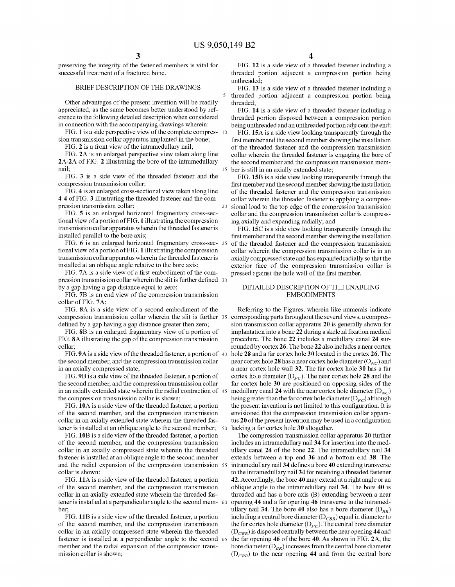preserving the integrity of the fastened members is vital for successful treatment of a fractured bone.

### BRIEF DESCRIPTION OF THE DRAWINGS

Other advantages of the present invention will be readily appreciated, as the same becomes better understood by ref erence to the following detailed description when considered in connection with the accompanying drawings wherein:

FIG. 1 is a side perspective view of the complete compres- 10 sion transmission collar apparatus implanted in the bone;

FIG. 2 is a front view of the intramedullary nail;

FIG. 2A is an enlarged perspective view taken along line 2A-2A of FIG. 2 illustrating the bore of the intramedullary nail;

FIG. 3 is a side view of the threaded fastener and the compression transmission collar,

FIG. 4 is an enlarged cross-sectional view taken along line 4-4 of FIG. 3 illustrating the threaded fastener and the compression transmission collar: pression transmission collar;

FIG. 5 is an enlarged horizontal fragmentary cross-sec tional view of a portion of FIG. 1 illustrating the compression transmission collar apparatus wherein the threaded fasteneris installed parallel to the bore axis;

FIG. 6 is an enlarged horizontal fragmentary cross-sec 25 tional view of a portion of FIG. 1 illustrating the compression transmission collar apparatus wherein the threaded fasteneris installed at an oblique angle relative to the bore axis;

FIG. 7A is a side view of a first embodiment of the com pression transmission collar wherein the slit is further defined 30 by a gap having a gap distance equal to Zero;

FIG. 7B is an end view of the compression transmission collar of FIG. 7A:

FIG. 8A is a side view of a second embodiment of the compression transmission collar wherein the slit is further 35 corresponding parts throughout the several views, a compres defined by a gap having a gap distance greater then zero;

FIG. 8B is an enlarged fragmentary view of a portion of FIG. 8A illustrating the gap of the compression transmission collar;

FIG.9A is a side view of the threaded fastener, a portion of 40 the second member, and the compression transmission collar in an axially compressed state;

FIG.9B is a side view of the threaded fastener, a portion of the second member, and the compression transmission collar in an axially extended state wherein the radial contraction of 45 the compression transmission collar is shown;

FIG. 10A is a side view of the threaded fastener, a portion of the second member, and the compression transmission collar in an axially extended state wherein the threaded fas tener is installed at an oblique angle to the second member, 50

FIG. 10B is a side view of the threaded fastener, a portion of the second member, and the compression transmission collar in an axially compressed state wherein the threaded fastener is installed at an oblique angle to the second member and the radial expansion of the compression transmission 55 collar is shown:

FIG. 11A is a side view of the threaded fastener, a portion of the second member, and the compression transmission collar in an axially extended state wherein the threaded fas tener is installed at a perpendicular angle to the second mem- 60

ber;<br>FIG. 11B is a side view of the threaded fastener, a portion of the second member, and the compression transmission collar in an axially compressed state wherein the threaded fastener is installed at a perpendicular angle to the second 65 member and the radial expansion of the compression trans mission collar is shown:

FIG. 12 is a side view of a threaded fastener including a threaded portion adjacent a compression portion being unthreaded;

FIG. 13 is a side view of a threaded fastener including a threaded portion adjacent a compression portion being threaded;

FIG. 14 is a side view of a threaded fastener including a threaded portion disposed between a compression portion being unthreaded and an unthreaded portion adjacent the end;

FIG. 15A is a side view looking transparently through the first member and the second member showing the installation of the threaded fastener and the compression transmission collar wherein the threaded fastener is engaging the bore of the second member and the compression transmission mem ber is still in an axially extended state;

FIG. 15B is a side view looking transparently through the first member and the second member showing the installation of the threaded fastener and the compression transmission collar wherein the threaded fastener is applying a compressional load to the top edge of the compression transmission<br>collar and the compression transmission collar is compressing axially and expanding radially; and

FIG. 15C is a side view looking transparently through the first member and the second member showing the installation of the threaded fastener and the compression transmission collar wherein the compression transmission collar is in an axially compressed State and has expanded radially so that the exterior face of the compression transmission collar is pressed against the hole wall of the first member.

### DETAILED DESCRIPTION OF THE ENABLING EMBODIMENTS

Referring to the Figures, wherein like numerals indicate sion transmission collar apparatus 20 is generally shown for implantation into a bone 22 during a skeletal fixation medical procedure. The bone 22 includes a medullary canal 24 surrounded by cortex 26. The bone 22 also includes a near cortex hole 28 and a far cortex hole 30 located in the cortex 26. The near cortex hole 28 has a near cortex hole diameter ( $O_{NC}$ ) and a near cortex hole wall 32. The far cortex hole 30 has a far cortex hole diameter  $(D_{EC})$ . The near cortex hole 28 and the far cortex hole 30 are positioned on opposing sides of the medullary canal 24 with the near cortex hole diameter  $(D_{NC})$ being greater than the far cortex hole diameter  $(D_{FC})$  although the present invention is not limited to this configuration. It is envisioned that the compression transmission collar appara tus 20 of the present invention may be used in a configuration lacking a far cortex hole 30 altogether.

The compression transmission collar apparatus 20 further includes an intramedullary nail 34 for insertion into the med ullary canal 24 of the bone 22. The intramedullary nail 34 extends between a top end 36 and a bottom end 38. The intramedullary nail 34 defines a bore 40 extending transverse to the intramedullary nail 34 for receiving a threaded fastener 42. Accordingly, the bore 40 may extend at a right angle oran oblique angle to the intramedullary nail 34. The bore 40 is threaded and has a bore axis (B) extending between a near opening 44 and a far opening 46 transverse to the intramed ullary nail 34. The bore 40 also has a bore diameter  $(D_{BR})$ including a central bore diameter  $(D_{CBR})$  equal in diameter to the far cortex hole diameter  $(D_{FC})$ . The central bore diameter  $(D_{CBR})$  is disposed centrally between the near opening 44 and the far opening 46 of the bore 40. As shown in FIG. 2A, the bore diameter  $(D_{BR})$  increases from the central bore diameter  $(D_{CBR})$  to the near opening 44 and from the central bore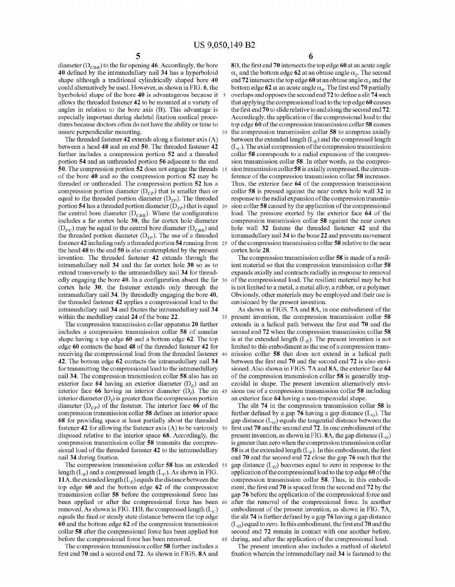15

65

diameter ( $D_{CBR}$ ) to the far opening 46. Accordingly, the bore 40 defined by the intramedullary nail 34 has a hyperboloid shape although a traditional cylindrically shaped bore 40 could alternatively be used. However, as shown in FIG. 6, the hyerboloid shape of the bore 40 is advantageous because it 5 allows the threaded fastener 42 to be mounted at a variety of angles in relation to the bore axis (B). This advantage is especially important during skeletal fixation medical proce dures because doctors often do not have the ability or time to assure perpendicular mounting.

The threaded fastener 42 extends along a fastener axis (A) between a head 48 and an end 50. The threaded fastener 42 further includes a compression portion 52 and a threaded portion 54 and an unthreaded portion 56 adjacent to the end 50. The compression portion 52 does not engage the threads of the bore 40 and so the compression portion 52 may be threaded or unthreaded. The compression portion 52 has a compression portion diameter  $(D_{CP})$  that is smaller than or equal to the threaded portion diameter  $(D_{TP})$ . The threaded portion 54 has a threaded portion diameter  $(D_{TP})$  that is equal 20 the central bore diameter  $(D_{CBR})$ . Where the configuration includes a far cortex hole 30, the far cortex hole diameter  $(D_{FC})$  may be equal to the central bore diameter  $(D_{CBR})$  and the threaded portion diameter  $(D_{TP})$ . The use of a threaded fastener 42 including only a threaded portion 54 running from 25 the head 48 to the end 50 is also contemplated by the present invention. The threaded fastener 42 extends through the intramedullary nail 34 and the far cortex hole 30 so as to extend transversely to the intramedullary nail 34 for thread edly engaging the bore 40. In a configuration absent the far 30 cortex hole 30, the fastener extends only through the intramedullary nail 34. By threadedly engaging the bore 40, the threaded fastener 42 applies a compressional load to the intramedullary nail 34 and fixates the intramedullary nail 34 within the medullary canal 24 of the bone 22.

The compression transmission collar apparatus 20 further includes a compression transmission collar 58 of annular shape having a top edge 60 and a bottom edge 62. The top edge 60 contacts the head 48 of the threaded fastener 42 for receiving the compressional load from the threaded fastener 40 42. The bottom edge 62 contacts the intramedullary nail 34 for transmitting the compressional load to the intramedullary nail 34. The compression transmission collar 58 also has an exterior face 64 having an exterior diameter  $(D<sub>E</sub>)$  and an interior face **66** having an interior diameter  $(D<sub>I</sub>)$ . The an 45 interior diameter  $(D<sub>I</sub>)$  is greater than the compression portion diameter  $(D_{CP})$  of the fastener. The interior face 66 of the compression transmission collar 58 defines an interior space 68 for providing space at least partially about the threaded disposed relative to the interior space 68. Accordingly, the compression transmission collar 58 transmits the compres sional load of the threaded fastener 42 to the intramedullary nail 34 during fixation. fastener 42 for allowing the fastener axis  $(A)$  to be variously 50

The compression transmission collar 58 has an extended 55 length ( $L<sub>E</sub>$ ) and a compressed length ( $L<sub>C</sub>$ ). As shown in FIG. 11A, the extended length  $(L<sub>F</sub>)$  equals the distance between the top edge 60 and the bottom edge 62 of the compression transmission collar 58 before the compressional force has been applied or after the compressional force has been 60 removed. As shown in FIG. 11B, the compressed length  $(L_C)$ equals the final or steady state distance between the top edge 60 and the bottom edge 62 of the compression transmission collar 58 after the compressional force has been applied but before the compressional force has been removed.

The compression transmission collar 58 further includes a first end 70 and a second end 72. As shown in FIGS. 8A and 6

8B, the first end 70 intersects the top edge 60 at an acute angle  $\alpha_1$  and the bottom edge 62 at an obtuse angle  $\alpha_2$ . The second end 72 intersects the top edge 60 at an obtuse angle  $\alpha_3$  and the bottom edge 62 at an acute angle  $\alpha_4$ . The first end 70 partially overlaps and opposes the second end 72 to define a slit 74 such that applying the compressional load to the top edge 60 causes the first end 70 to slide relative to and along the second end 72. Accordingly, the application of the compressional load to the top edge 60 of the compression transmission collar 58 causes the compression transmission collar 58 to compress axially between the extended length  $(L<sub>E</sub>)$  and the compressed length  $(L<sub>C</sub>)$ . The axial compression of the compression transmission collar 58 corresponds to a radial expansion of the compression transmission collar 58. In other words, as the compression transmission collar 58 is axially compressed, the circumference of the compression transmission collar 58 increases. Thus, the exterior face 64 of the compression transmission collar 58 is pressed against the near cortex hole wall 32 in response to the radial expansion of the compression transmis sion collar 58 caused by the application of the compressional load. The pressure exerted by the exterior face 64 of the compression transmission collar 58 against the near cortex hole wall 32 fastens the threaded fastener 42 and the intramedullary nail34 to the bone 22 and prevents movement of the compression transmission collar 58 relative to the near cortex hole 28.

The compression transmission collar 58 is made of a resil ient material so that the compression transmission collar 58 expands axially and contracts radially in response to removal of the compressional load. The resilient material may be but<br>is not limited to a metal, a metal alloy, a rubber, or a polymer. Obviously, other materials may be employed and their use is envisioned by the present invention.

35 present invention, the compression transmission collar 58 As shown in FIGS. 7A and 8A, in one embodiment of the extends in a helical path between the first end 70 and the second end 72 when the compression transmission collar 58 is at the extended length  $(L<sub>E</sub>)$ . The present invention is not limited to this embodiment as the use of a compression trans mission collar 58 that does not extend in a helical path between the first end 70 and the second end 72 is also envi sioned. Also shown in FIGS. 7A and 8A, the exterior face 64 of the compression transmission collar 58 is generally trap ezoidal in shape. The present invention alternatively envi sions use of a compression transmission collar 58 including an exterior face 64 having a non-trapezoidal shape.

The slit 74 in the compression transmission collar 58 is further defined by a gap 76 having a gap distance  $(L_G)$ . The gap distance  $(L_G)$  equals the tangential distance between the first end 70 and the second end 72. In one embodiment of the present invention, as shown in FIG. 8A, the gap distance  $(L_G)$ is greater than Zero when the compression transmission collar 58 is at the extended length  $(L<sub>E</sub>)$ . In this embodiment, the first end 70 and the second end 72 close the gap 76 such that the gap distance  $(L_G)$  becomes equal to zero in response to the application of the compressional load to the top edge 60 of the compression transmission collar 58. Thus, in this embodi ment, the first end 70 is spaced from the second end 72 by the gap 76 before the application of the compressional force and after the removal of the compressional force. In another embodiment of the present invention, as shown in FIG. 7A, the slit 74 is further defined by a gap 76 having a gap distance  $(L<sub>G</sub>)$  equal to zero. In this embodiment, the first end 70 and the second end 72 remain in contact with one another before, during, and after the application of the compressional load.

The present invention also includes a method of skeletal fixation wherein the intramedullary nail 34 is fastened to the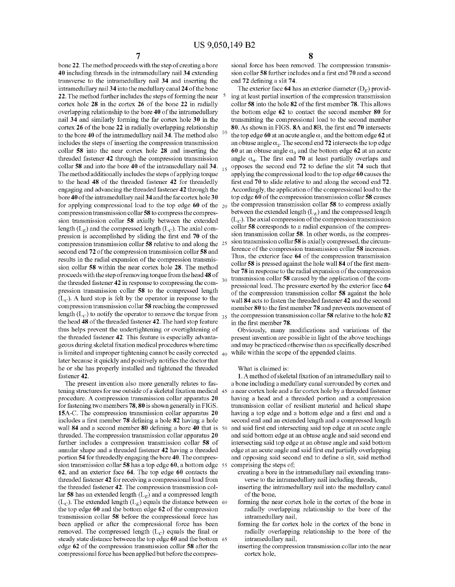bone 22. The method proceeds with the step of creating a bore 40 including threads in the intramedullary nail 34 extending transverse to the intramedullary nail 34 and inserting the intramedullary nail 34 into the medullary canal 24 of the bone 22. The method further includes the steps of forming the near cortex hole  $28$  in the cortex  $26$  of the bone  $22$  in radially overlapping relationship to the bore 40 of the intramedullary nail 34 and similarly forming the far cortex hole 30 in the cortex 26 of the bone 22 in radially overlapping relationship to the bore 40 of the intramedullary nail 34. The method also includes the steps of inserting the compression transmission collar 58 into the near cortex hole 28 and inserting the threaded fastener 42 through the compression transmission collar 58 and into the bore 40 of the intramedullary nail 34.  $_{15}$ The method additionally includes the steps of applying torque to the head 48 of the threaded fastener 42 for threadedly engaging and advancing the threaded fastener 42 through the bore 40 of the intramedullary nail 34 and the far cortex hole 30 for applying compressional load to the top edge 60 of the  $_{20}$ compression transmission collar 58 to compress the compres sion transmission collar 58 axially between the extended length  $(L_E)$  and the compressed length  $(L_C)$ . The axial compression is accomplished by sliding the first end 70 of the compression transmission collar 58 relative to and along the 25 second end 72 of the compression transmission collar 58 and results in the radial expansion of the compression transmis sion collar 58 within the near cortex hole 28. The method proceeds with the step of removing torque from the head 48 of the threaded fastener 42 in response to compressing the com pression transmission collar 58 to the compressed length  $(L<sub>c</sub>)$ . A hard stop is felt by the operator in response to the compression transmission collar 58 reaching the compressed length  $(L_C)$  to notify the operator to remove the torque from the head 48 of the threaded fastener 42. The hard stop feature thus helps prevent the undertightening or overtightening of the threaded fastener 42. This feature is especially advanta geous during skeletal fixation medical procedures where time is limited and improper tightening cannot be easily corrected  $\,$   $_{40}$ later because it quickly and positively notifies the doctor that he or she has properly installed and tightened the threaded fastener 42. 30 35

The present invention also more generally relates to fas tening structures for use outside of a skeletal fixation medical 45 procedure. A compression transmission collar apparatus 20 for fastening two members 78, 80 is shown generally in FIGS. 15A-C. The compression transmission collar apparatus 20 includes a first member 78 defining a hole 82 having a hole wall **84** and a second member **80** defining a bore 40 that is 50 threaded. The compression transmission collar apparatus 20 further includes a compression transmission collar 58 of annular shape and a threaded fastener 42 having a threaded portion 54 for threadedly engaging the bore 40. The compres sion transmission collar 58 has a top edge **60**, a bottom edge 55 62, and an exterior face 64. The top edge 60 contacts the threaded fastener 42 for receiving a compressional load from the threaded fastener 42. The compression transmission col lar 58 has an extended length  $(L<sub>E</sub>)$  and a compressed length  $(L_C)$ . The extended length  $(L_E)$  equals the distance between the top edge 60 and the bottom edge 62 of the compression transmission collar 58 before the compressional force has been applied or after the compressional force has been removed. The compressed length  $(L_C)$  equals the final or steady state distance between the top edge **ou** and the bottom 65 edge 62 of the compression transmission collar 58 after the compressional force has been applied but before the compres 60

8

sional force has been removed. The compression transmis sion collar 58 further includes and a first end 70 and a second end 72 defining a slit 74.<br>The exterior face 64 has an exterior diameter  $(D_F)$  provid-

ing at least partial insertion of the compression transmission collar 58 into the hole 82 of the first member 78. This allows the bottom edge 62 to contact the second member 80 for transmitting the compressional load to the second member 80. As shown in FIGS. 8A and 8B, the first end 70 intersects the top edge 60 at an acute angle  $\alpha_1$  and the bottom edge 62 at an obtuse angle  $\alpha_2$ . The second end 72 intersects the top edge 60 at an obtuse angle  $\alpha_3$  and the bottom edge 62 at an acute angle  $\alpha_4$ . The first end 70 at least partially overlaps and opposes the second end 72 to define the slit 74 such that applying the compressional load to the top edge 60 causes the first end 70 to slide relative to and along the second end 72. Accordingly, the application of the compressional load to the top edge 60 of the compression transmission collar 58 causes the compression transmission collar 58 to compress axially between the extended length  $(L_E)$  and the compressed length  $(L_C)$ . The axial compression of the compression transmission collar 58 corresponds to a radial expansion of the compres sion transmission collar **58**. In other words, as the compression transmission collar **58** is axially compressed, the circumference of the compression transmission collar 58 increases. Thus, the exterior face 64 of the compression transmission collar 58 is pressed against the hole wall 84 of the first mem ber 78 in response to the radial expansion of the compression transmission collar 58 caused by the application of the com pressional load. The pressure exerted by the exterior face 64 of the compression transmission collar 58 against the hole wall 84 acts to fasten the threaded fastener 42 and the second member 80 to the first member 78 and prevents movement of the compression transmission collar 58 relative to the hole 82 in the first member 78.

Obviously, many modifications and variations of the present invention are possible in light of the above teachings and may be practiced otherwise than as specifically described while within the scope of the appended claims.

### What is claimed is:

1. A method of skeletal fixation of an intramedullary nail to a bone including a medullary canal surrounded by cortex and a near cortex hole and a far cortex hole by a threaded fastener having a head and a threaded portion and a compression having a top edge and a bottom edge and a first end and a second end and an extended length and a compressed length and said first end intersecting said top edge at an acute angle and said bottom edge at an obtuse angle and said second end intersecting said top edge at an obtuse angle and said bottom edge at an acute angle and said first end partially overlapping and opposing said second end to define a slit, said method comprising the steps of

- creating a bore in the intramedullary nail extending trans verse to the intramedullary nail including threads,
- inserting the intramedullary nail into the medullary canal of the bone,
- forming the near cortex hole in the cortex of the bone in radially overlapping relationship to the bore of the intramedullary nail,
- forming the far cortex hole in the cortex of the bone in radially overlapping relationship to the bore of the intramedullary nail,
- inserting the compression transmission collar into the near cortex hole,